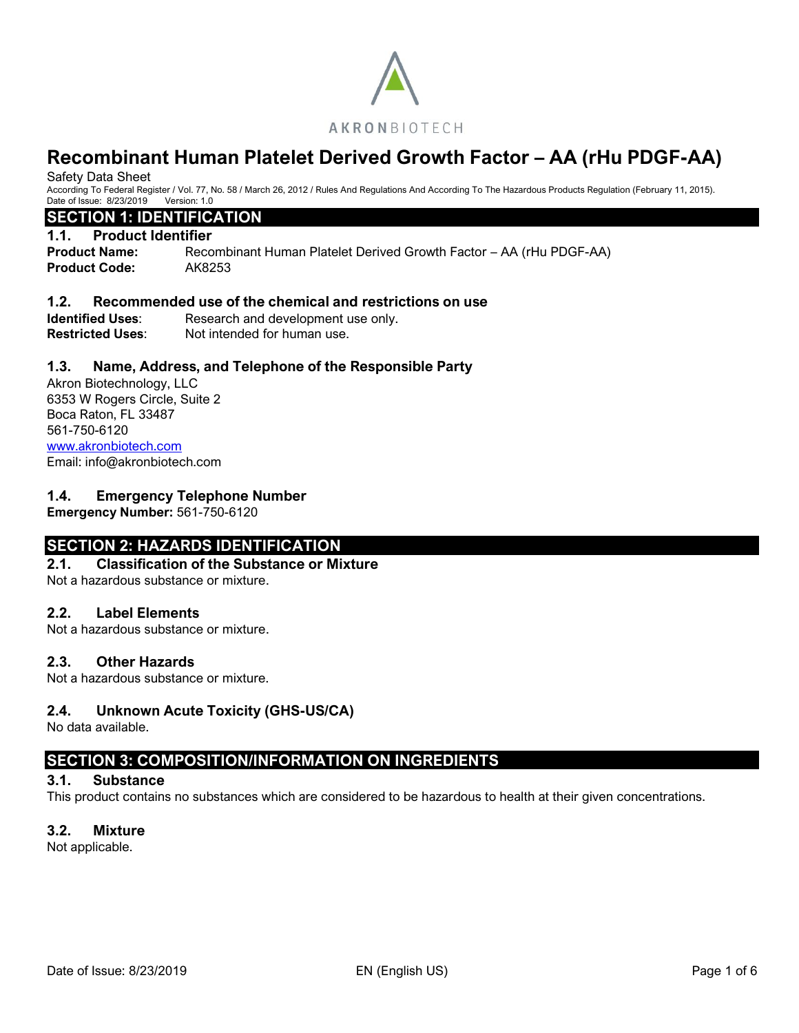

Safety Data Sheet

According To Federal Register / Vol. 77, No. 58 / March 26, 2012 / Rules And Regulations And According To The Hazardous Products Regulation (February 11, 2015). Date of Issue: 8/23/2019 Version: 1.0

# **SECTION 1: IDENTIFICATION**

#### **1.1. Product Identifier**

**Product Name:** Recombinant Human Platelet Derived Growth Factor – AA (rHu PDGF-AA) **Product Code:** AK8253

### **1.2. Recommended use of the chemical and restrictions on use**

**Identified Uses:** Research and development use only. **Restricted Uses:** Not intended for human use.

### **1.3. Name, Address, and Telephone of the Responsible Party**

Akron Biotechnology, LLC 6353 W Rogers Circle, Suite 2 Boca Raton, FL 33487 561-750-6120 [www.akronbiotech.com](http://www.akronbiotech.com/%3c/a) Email: info@akronbiotech.com

### **1.4. Emergency Telephone Number**

**Emergency Number:** 561-750-6120

# **SECTION 2: HAZARDS IDENTIFICATION**

#### **2.1. Classification of the Substance or Mixture**

Not a hazardous substance or mixture.

### **2.2. Label Elements**

Not a hazardous substance or mixture.

### **2.3. Other Hazards**

Not a hazardous substance or mixture.

### **2.4. Unknown Acute Toxicity (GHS-US/CA)**

No data available.

# **SECTION 3: COMPOSITION/INFORMATION ON INGREDIENTS**

### **3.1. Substance**

This product contains no substances which are considered to be hazardous to health at their given concentrations.

### **3.2. Mixture**

Not applicable.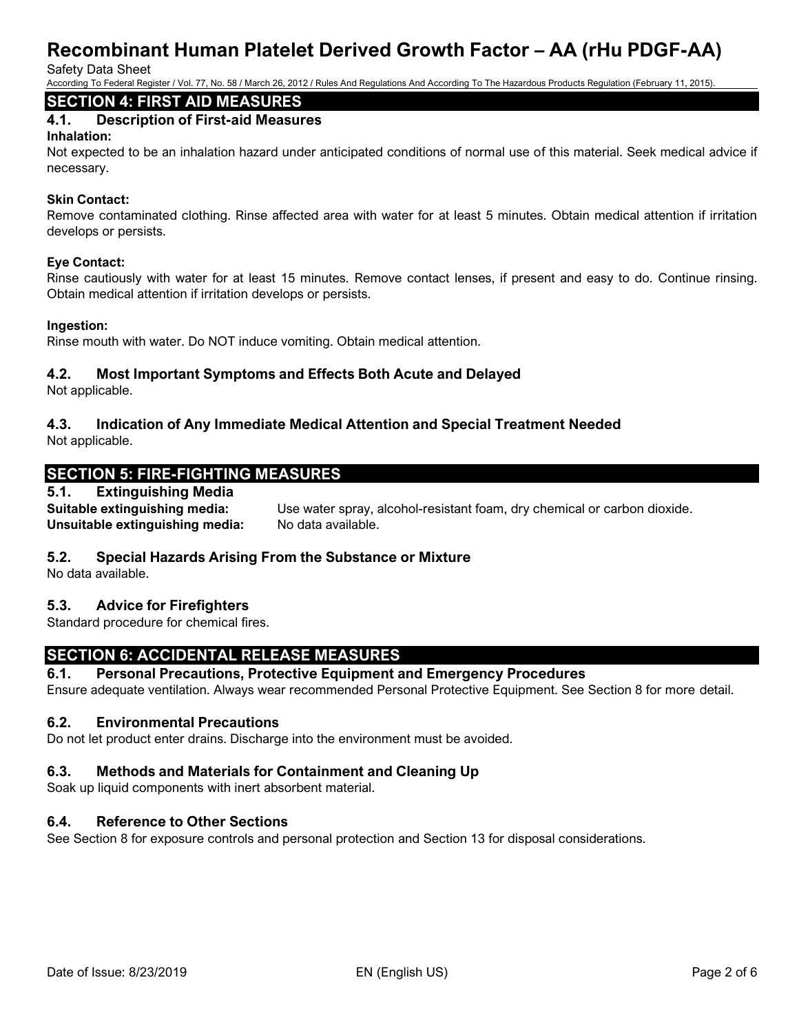Safety Data Sheet

According To Federal Register / Vol. 77, No. 58 / March 26, 2012 / Rules And Regulations And According To The Hazardous Products Regulation (February 11, 2015).

# **SECTION 4: FIRST AID MEASURES**

# **4.1. Description of First-aid Measures**

#### **Inhalation:**

Not expected to be an inhalation hazard under anticipated conditions of normal use of this material. Seek medical advice if necessary.

### **Skin Contact:**

Remove contaminated clothing. Rinse affected area with water for at least 5 minutes. Obtain medical attention if irritation develops or persists.

#### **Eye Contact:**

Rinse cautiously with water for at least 15 minutes. Remove contact lenses, if present and easy to do. Continue rinsing. Obtain medical attention if irritation develops or persists.

#### **Ingestion:**

Rinse mouth with water. Do NOT induce vomiting. Obtain medical attention.

### **4.2. Most Important Symptoms and Effects Both Acute and Delayed**

Not applicable.

# **4.3. Indication of Any Immediate Medical Attention and Special Treatment Needed**

Not applicable.

# **SECTION 5: FIRE-FIGHTING MEASURES**

### **5.1. Extinguishing Media**

**Suitable extinguishing media:** Use water spray, alcohol-resistant foam, dry chemical or carbon dioxide. **Unsuitable extinguishing media:** No data available.

### **5.2. Special Hazards Arising From the Substance or Mixture**

No data available.

# **5.3. Advice for Firefighters**

Standard procedure for chemical fires.

# **SECTION 6: ACCIDENTAL RELEASE MEASURES**

### **6.1. Personal Precautions, Protective Equipment and Emergency Procedures**

Ensure adequate ventilation. Always wear recommended Personal Protective Equipment. See Section 8 for more detail.

### **6.2. Environmental Precautions**

Do not let product enter drains. Discharge into the environment must be avoided.

### **6.3. Methods and Materials for Containment and Cleaning Up**

Soak up liquid components with inert absorbent material.

### **6.4. Reference to Other Sections**

See Section 8 for exposure controls and personal protection and Section 13 for disposal considerations.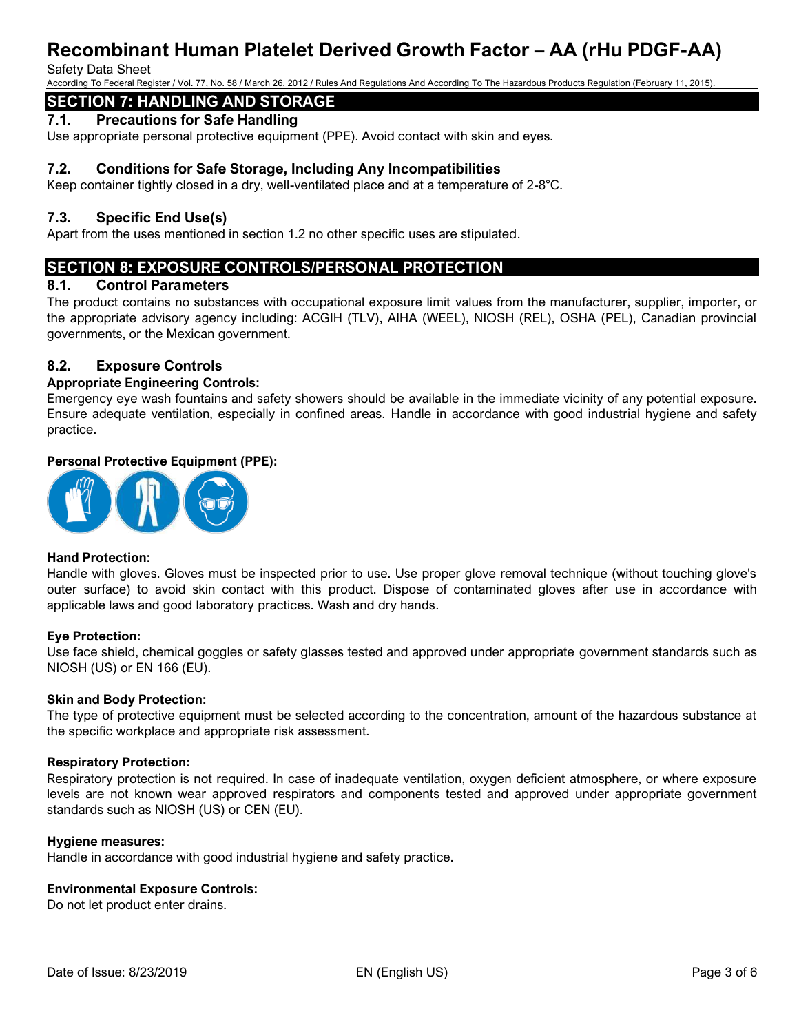#### Safety Data Sheet

According To Federal Register / Vol. 77, No. 58 / March 26, 2012 / Rules And Regulations And According To The Hazardous Products Regulation (February 11, 2015).

# **SECTION 7: HANDLING AND STORAGE**

### **7.1. Precautions for Safe Handling**

Use appropriate personal protective equipment (PPE). Avoid contact with skin and eyes.

### **7.2. Conditions for Safe Storage, Including Any Incompatibilities**

Keep container tightly closed in a dry, well-ventilated place and at a temperature of 2-8°C.

#### **7.3. Specific End Use(s)**

Apart from the uses mentioned in section 1.2 no other specific uses are stipulated.

# **SECTION 8: EXPOSURE CONTROLS/PERSONAL PROTECTION**

#### **8.1. Control Parameters**

The product contains no substances with occupational exposure limit values from the manufacturer, supplier, importer, or the appropriate advisory agency including: ACGIH (TLV), AIHA (WEEL), NIOSH (REL), OSHA (PEL), Canadian provincial governments, or the Mexican government.

### **8.2. Exposure Controls**

#### **Appropriate Engineering Controls:**

Emergency eye wash fountains and safety showers should be available in the immediate vicinity of any potential exposure. Ensure adequate ventilation, especially in confined areas. Handle in accordance with good industrial hygiene and safety practice.

#### **Personal Protective Equipment (PPE):**



#### **Hand Protection:**

Handle with gloves. Gloves must be inspected prior to use. Use proper glove removal technique (without touching glove's outer surface) to avoid skin contact with this product. Dispose of contaminated gloves after use in accordance with applicable laws and good laboratory practices. Wash and dry hands.

#### **Eye Protection:**

Use face shield, chemical goggles or safety glasses tested and approved under appropriate government standards such as NIOSH (US) or EN 166 (EU).

#### **Skin and Body Protection:**

The type of protective equipment must be selected according to the concentration, amount of the hazardous substance at the specific workplace and appropriate risk assessment.

#### **Respiratory Protection:**

Respiratory protection is not required. In case of inadequate ventilation, oxygen deficient atmosphere, or where exposure levels are not known wear approved respirators and components tested and approved under appropriate government standards such as NIOSH (US) or CEN (EU).

#### **Hygiene measures:**

Handle in accordance with good industrial hygiene and safety practice.

#### **Environmental Exposure Controls:**

Do not let product enter drains.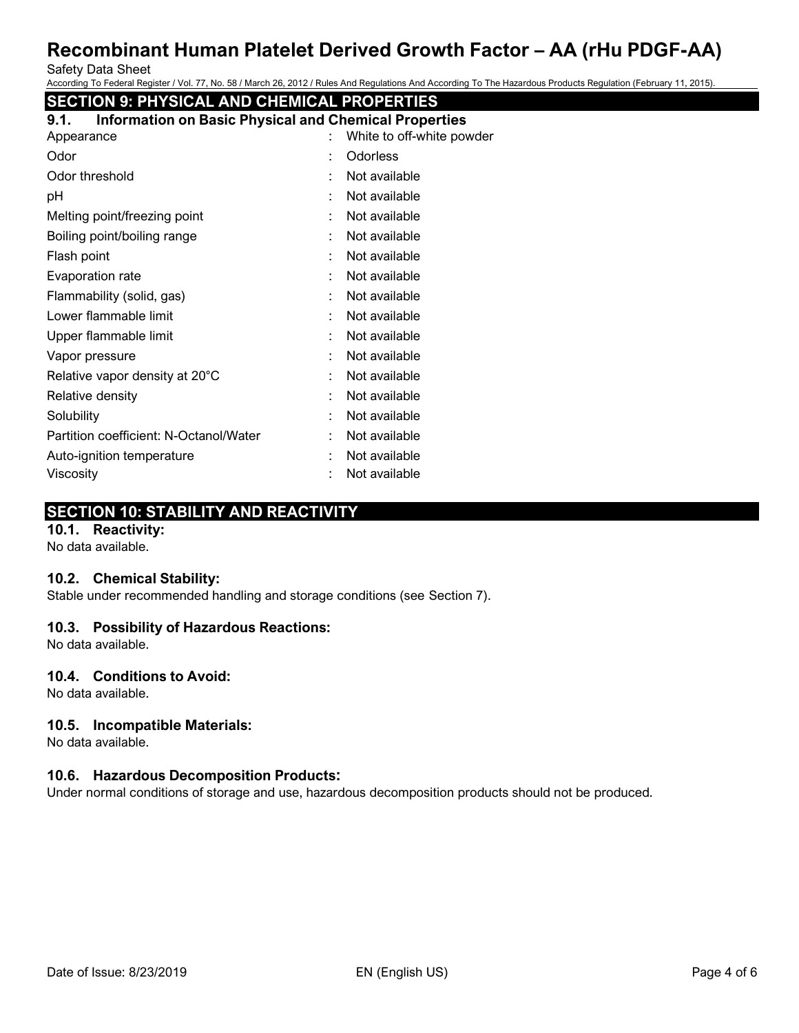Safety Data Sheet

According To Federal Register / Vol. 77, No. 58 / March 26, 2012 / Rules And Regulations And According To The Hazardous Products Regulation (February 11, 2015).

# **SECTION 9: PHYSICAL AND CHEMICAL PROPERTIES**

| <b>Information on Basic Physical and Chemical Properties</b><br>9.1. |   |                           |
|----------------------------------------------------------------------|---|---------------------------|
| Appearance                                                           |   | White to off-white powder |
| Odor                                                                 | t | Odorless                  |
| Odor threshold                                                       |   | Not available             |
| рH                                                                   | t | Not available             |
| Melting point/freezing point                                         |   | Not available             |
| Boiling point/boiling range                                          | ÷ | Not available             |
| Flash point                                                          | t | Not available             |
| Evaporation rate                                                     | ÷ | Not available             |
| Flammability (solid, gas)                                            | t | Not available             |
| Lower flammable limit                                                |   | Not available             |
| Upper flammable limit                                                |   | Not available             |
| Vapor pressure                                                       |   | Not available             |
| Relative vapor density at 20°C                                       | ÷ | Not available             |
| Relative density                                                     |   | Not available             |
| Solubility                                                           | t | Not available             |
| Partition coefficient: N-Octanol/Water                               | ÷ | Not available             |
| Auto-ignition temperature                                            |   | Not available             |
| Viscosity                                                            |   | Not available             |
|                                                                      |   |                           |

# **SECTION 10: STABILITY AND REACTIVITY**

### **10.1. Reactivity:**

No data available.

### **10.2. Chemical Stability:**

Stable under recommended handling and storage conditions (see Section 7).

# **10.3. Possibility of Hazardous Reactions:**

No data available.

### **10.4. Conditions to Avoid:**

No data available.

### **10.5. Incompatible Materials:**

No data available.

### **10.6. Hazardous Decomposition Products:**

Under normal conditions of storage and use, hazardous decomposition products should not be produced.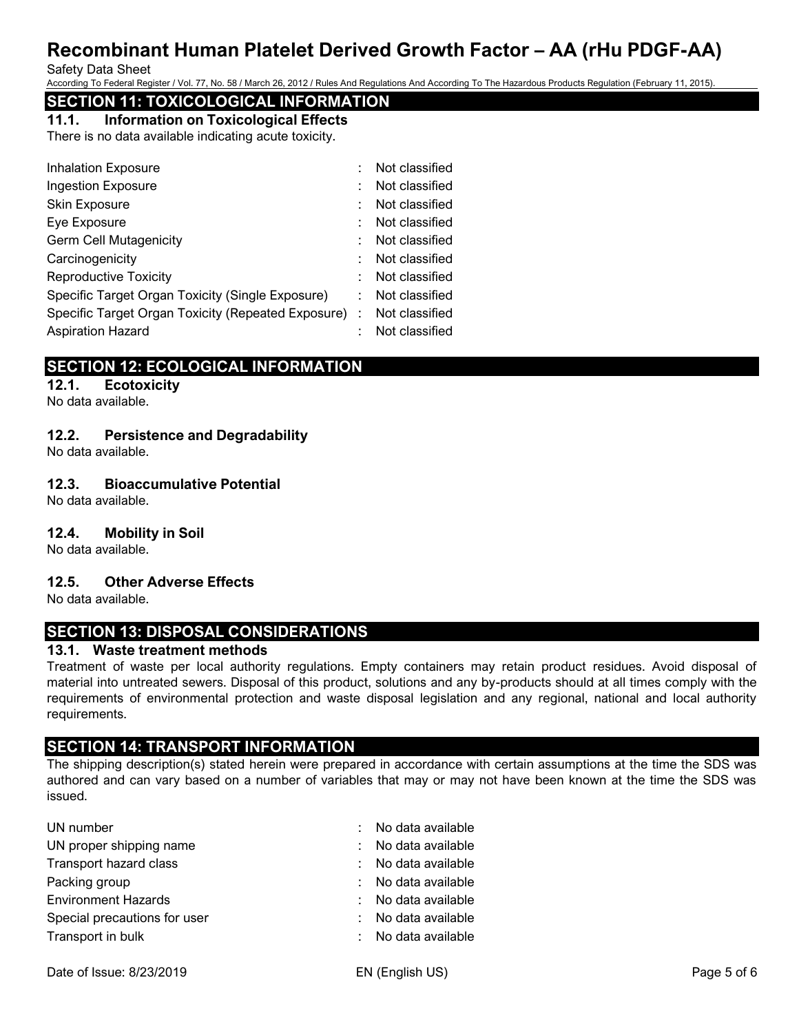Safety Data Sheet

According To Federal Register / Vol. 77, No. 58 / March 26, 2012 / Rules And Regulations And According To The Hazardous Products Regulation (February 11, 2015).

# **SECTION 11: TOXICOLOGICAL INFORMATION**

# **11.1. Information on Toxicological Effects**

There is no data available indicating acute toxicity.

| <b>Inhalation Exposure</b>                           | Not classified |
|------------------------------------------------------|----------------|
| <b>Ingestion Exposure</b>                            | Not classified |
| Skin Exposure                                        | Not classified |
| Eye Exposure                                         | Not classified |
| <b>Germ Cell Mutagenicity</b>                        | Not classified |
| Carcinogenicity                                      | Not classified |
| <b>Reproductive Toxicity</b>                         | Not classified |
| Specific Target Organ Toxicity (Single Exposure)     | Not classified |
| Specific Target Organ Toxicity (Repeated Exposure) : | Not classified |
| <b>Aspiration Hazard</b>                             | Not classified |

# **SECTION 12: ECOLOGICAL INFORMATION**

**12.1. Ecotoxicity** No data available.

**12.2. Persistence and Degradability** No data available.

# **12.3. Bioaccumulative Potential**

No data available.

# **12.4. Mobility in Soil**

No data available.

# **12.5. Other Adverse Effects**

No data available.

# **SECTION 13: DISPOSAL CONSIDERATIONS**

### **13.1. Waste treatment methods**

Treatment of waste per local authority regulations. Empty containers may retain product residues. Avoid disposal of material into untreated sewers. Disposal of this product, solutions and any by-products should at all times comply with the requirements of environmental protection and waste disposal legislation and any regional, national and local authority requirements.

# **SECTION 14: TRANSPORT INFORMATION**

The shipping description(s) stated herein were prepared in accordance with certain assumptions at the time the SDS was authored and can vary based on a number of variables that may or may not have been known at the time the SDS was issued.

| UN number                    |                           | : No data available |
|------------------------------|---------------------------|---------------------|
| UN proper shipping name      | ÷.                        | No data available   |
| Transport hazard class       | $\mathbb{Z}^{\mathbb{Z}}$ | No data available   |
| Packing group                |                           | : No data available |
| <b>Environment Hazards</b>   | ÷.                        | No data available   |
| Special precautions for user | ÷.                        | No data available   |
| Transport in bulk            |                           | No data available   |
|                              |                           |                     |